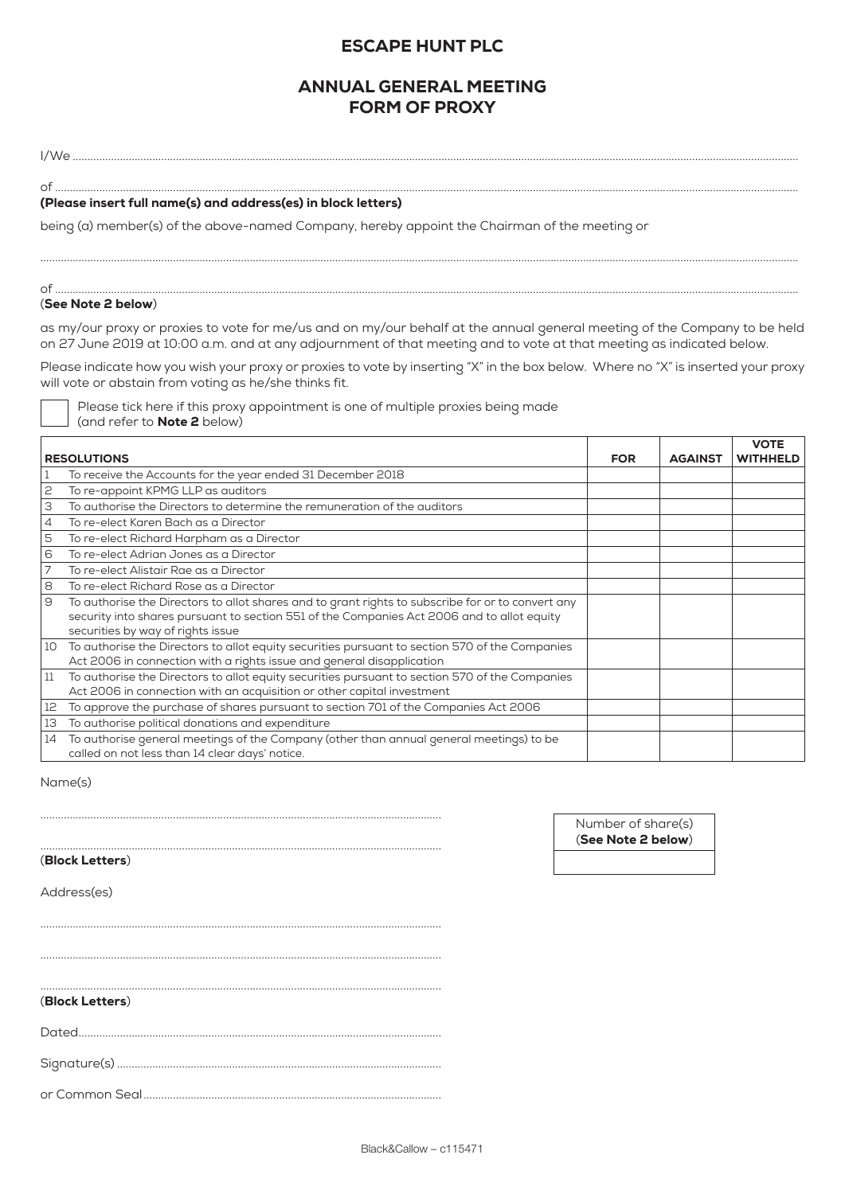# ESCAPE HUNT PLC

# ANNUAL GENERAL MEETING FORM OF PROXY

I/We ......................................................................................................................................................................................................................................................

of ............................................................................................................................................................................................................................................................

## (Please insert full name(s) and address(es) in block letters)

being (a) member(s) of the above-named Company, hereby appoint the Chairman of the meeting or

#### of ............................................................................................................................................................................................................................................................ (See Note 2 below)

as my/our proxy or proxies to vote for me/us and on my/our behalf at the annual general meeting of the Company to be held on 27 June 2019 at 10:00 a.m. and at any adjournment of that meeting and to vote at that meeting as indicated below.

.................................................................................................................................................................................................................................................................

Please indicate how you wish your proxy or proxies to vote by inserting "X" in the box below. Where no "X" is inserted your proxy will vote or abstain from voting as he/she thinks fit.

| Please tick here if this proxy appointment is one of multiple proxies being made |  |  |
|----------------------------------------------------------------------------------|--|--|
| (and refer to <b>Note 2</b> below)                                               |  |  |

|    | <b>RESOLUTIONS</b>                                                                                | <b>FOR</b> | <b>AGAINST</b> | <b>VOTE</b><br><b>WITHHELD</b> |
|----|---------------------------------------------------------------------------------------------------|------------|----------------|--------------------------------|
|    |                                                                                                   |            |                |                                |
|    | To receive the Accounts for the year ended 31 December 2018                                       |            |                |                                |
| 2  | To re-appoint KPMG LLP as auditors                                                                |            |                |                                |
| З  | To authorise the Directors to determine the remuneration of the auditors                          |            |                |                                |
| 4  | To re-elect Karen Bach as a Director                                                              |            |                |                                |
| 5  | To re-elect Richard Harpham as a Director                                                         |            |                |                                |
| 6  | To re-elect Adrian Jones as a Director                                                            |            |                |                                |
|    | To re-elect Alistair Rae as a Director                                                            |            |                |                                |
| 8  | To re-elect Richard Rose as a Director                                                            |            |                |                                |
| 9  | To authorise the Directors to allot shares and to grant rights to subscribe for or to convert any |            |                |                                |
|    | security into shares pursuant to section 551 of the Companies Act 2006 and to allot equity        |            |                |                                |
|    | securities by way of rights issue                                                                 |            |                |                                |
| 10 | To authorise the Directors to allot equity securities pursuant to section 570 of the Companies    |            |                |                                |
|    | Act 2006 in connection with a rights issue and general disapplication                             |            |                |                                |
| 11 | To authorise the Directors to allot equity securities pursuant to section 570 of the Companies    |            |                |                                |
|    | Act 2006 in connection with an acquisition or other capital investment                            |            |                |                                |
| 12 | To approve the purchase of shares pursuant to section 701 of the Companies Act 2006               |            |                |                                |
| 13 | To authorise political donations and expenditure                                                  |            |                |                                |
| 14 | To authorise general meetings of the Company (other than annual general meetings) to be           |            |                |                                |
|    | called on not less than 14 clear days' notice.                                                    |            |                |                                |

Name(s)

(Block Letters)

Address(es)

Number of share(s) (See Note 2 below)

........................................................................................................................................ ........................................................................................................................................ (Block Letters) Dated........................................................................................................................... Signature(s) ..............................................................................................................

........................................................................................................................................

........................................................................................................................................

........................................................................................................................................

or Common Seal.....................................................................................................